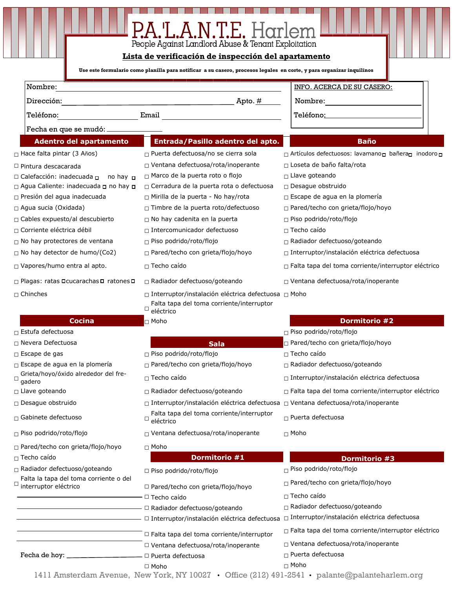| P.A.'L.A.N.T.E. Harlem<br>People Against Landlord Abuse & Tenant Exploitation<br>Lista de verificación de inspección del apartamento |                                                                                                                      |                                                            |  |
|--------------------------------------------------------------------------------------------------------------------------------------|----------------------------------------------------------------------------------------------------------------------|------------------------------------------------------------|--|
|                                                                                                                                      | Use este formulario como planilla para notificar a su casero, procesos legales en corte, y para organizar inquilinos |                                                            |  |
| Nombre:                                                                                                                              |                                                                                                                      | INFO. ACERCA DE SU CASERO:                                 |  |
| Dirección:                                                                                                                           |                                                                                                                      | Nombre:                                                    |  |
| Teléfono:                                                                                                                            | Email and the contract of the contract of the contract of the contract of the contract of the contract of the        | Teléfono: Teléfono:                                        |  |
| Fecha en que se mudó: _                                                                                                              |                                                                                                                      |                                                            |  |
|                                                                                                                                      | Entrada/Pasillo adentro del apto.                                                                                    | <b>Baño</b>                                                |  |
| <b>Adentro del apartamento</b>                                                                                                       |                                                                                                                      |                                                            |  |
| $\Box$ Hace falta pintar (3 Años)                                                                                                    | □ Puerta defectuosa/no se cierra sola                                                                                | □ Artículos defectuosos: lavamano□ bañera□ inodoro□        |  |
| $\Box$ Pintura descacarada                                                                                                           | $\Box$ Ventana defectuosa/rota/inoperante<br>$\Box$ Marco de la puerta roto o flojo                                  | $\Box$ Loseta de baño falta/rota<br>$\Box$ Llave goteando  |  |
| $\Box$ Calefacción: inadecuada $\Box$<br>no hay <b>n</b><br>□ Agua Caliente: inadecuada □ no hay □                                   | $\Box$ Cerradura de la puerta rota o defectuosa                                                                      | $\Box$ Desague obstruido                                   |  |
| $\Box$ Presión del agua inadecuada                                                                                                   | $\Box$ Mirilla de la puerta - No hay/rota                                                                            | $\Box$ Escape de agua en la plomería                       |  |
| $\Box$ Agua sucia (Oxidada)                                                                                                          | $\Box$ Timbre de la puerta roto/defectuoso                                                                           | $\Box$ Pared/techo con grieta/flojo/hoyo                   |  |
| $\Box$ Cables expuesto/al descubierto                                                                                                | $\Box$ No hay cadenita en la puerta                                                                                  | $\Box$ Piso podrido/roto/flojo                             |  |
| □ Corriente eléctrica débil                                                                                                          | $\Box$ Intercomunicador defectuoso                                                                                   | $\Box$ Techo caído                                         |  |
| $\Box$ No hay protectores de ventana                                                                                                 | □ Piso podrido/roto/flojo                                                                                            | □ Radiador defectuoso/goteando                             |  |
| $\Box$ No hay detector de humo/(Co2)                                                                                                 | $\Box$ Pared/techo con grieta/flojo/hoyo                                                                             | □ Interruptor/instalación eléctrica defectuosa             |  |
| $\Box$ Vapores/humo entra al apto.                                                                                                   | $\Box$ Techo caído                                                                                                   | $\Box$ Falta tapa del toma corriente/interruptor eléctrico |  |
| □ Plagas: ratas <b>Deucarachas</b> D ratones D                                                                                       | $\Box$ Radiador defectuoso/goteando                                                                                  | $\Box$ Ventana defectuosa/rota/inoperante                  |  |
| $\sqcap$ Chinches                                                                                                                    | □ Interruptor/instalación eléctrica defectuosa □ Moho<br>Falta tapa del toma corriente/interruptor<br>Ц<br>eléctrico |                                                            |  |
| <b>Cocina</b>                                                                                                                        | $\sqcap$ Moho                                                                                                        | <b>Dormitorio #2</b>                                       |  |
| $\Box$ Estufa defectuosa                                                                                                             |                                                                                                                      | $\Box$ Piso podrido/roto/flojo                             |  |
| $\sqcap$ Nevera Defectuosa                                                                                                           | <b>Sala</b>                                                                                                          | □ Pared/techo con grieta/flojo/hoyo                        |  |
| $\Box$ Escape de gas                                                                                                                 | □ Piso podrido/roto/flojo                                                                                            | $\Box$ Techo caído                                         |  |
| $\Box$ Escape de agua en la plomería                                                                                                 | □ Pared/techo con grieta/flojo/hoyo                                                                                  | □ Radiador defectuoso/goteando                             |  |
| Grieta/hoyo/óxido alrededor del fre-<br>gadero                                                                                       | $\Box$ Techo caído                                                                                                   | $\Box$ Interruptor/instalación eléctrica defectuosa        |  |
| $\Box$ Llave goteando                                                                                                                | □ Radiador defectuoso/goteando                                                                                       | □ Falta tapa del toma corriente/interruptor eléctrico      |  |
| $\Box$ Desague obstruido                                                                                                             | $\Box$ Interruptor/instalación eléctrica defectuosa $\Box$ Ventana defectuosa/rota/inoperante                        |                                                            |  |
| $\Box$ Gabinete defectuoso                                                                                                           | Falta tapa del toma corriente/interruptor<br>$^{\Box}$ eléctrico                                                     | $\Box$ Puerta defectuosa                                   |  |
| □ Piso podrido/roto/flojo                                                                                                            | □ Ventana defectuosa/rota/inoperante                                                                                 | $\sqcap$ Moho                                              |  |
| $\Box$ Pared/techo con grieta/flojo/hoyo                                                                                             | $\sqcap$ Moho                                                                                                        |                                                            |  |
| $\Box$ Techo caído                                                                                                                   | Dormitorio #1                                                                                                        | Dormitorio #3                                              |  |
| □ Radiador defectuoso/goteando<br>Falta la tapa del toma corriente o del<br>interruptor eléctrico                                    | □ Piso podrido/roto/flojo                                                                                            | $\Box$ Piso podrido/roto/flojo                             |  |
|                                                                                                                                      | □ Pared/techo con grieta/flojo/hoyo<br>- □ Techo caído                                                               | □ Pared/techo con grieta/flojo/hoyo<br>$\Box$ Techo caído  |  |
|                                                                                                                                      | - <sup>[2]</sup> Radiador defectuoso/goteando                                                                        | $\Box$ Radiador defectuoso/goteando                        |  |
|                                                                                                                                      | - □ Interruptor/instalación eléctrica defectuosa                                                                     | □ Interruptor/instalación eléctrica defectuosa             |  |
|                                                                                                                                      | □ Falta tapa del toma corriente/interruptor                                                                          | $\Box$ Falta tapa del toma corriente/interruptor eléctrico |  |
|                                                                                                                                      | □ Ventana defectuosa/rota/inoperante                                                                                 | $\Box$ Ventana defectuosa/rota/inoperante                  |  |
| Fecha de hoy: __                                                                                                                     | - □ Puerta defectuosa                                                                                                | $\Box$ Puerta defectuosa                                   |  |
|                                                                                                                                      | $\Box$ Moho                                                                                                          | $\sqcap$ Moho                                              |  |